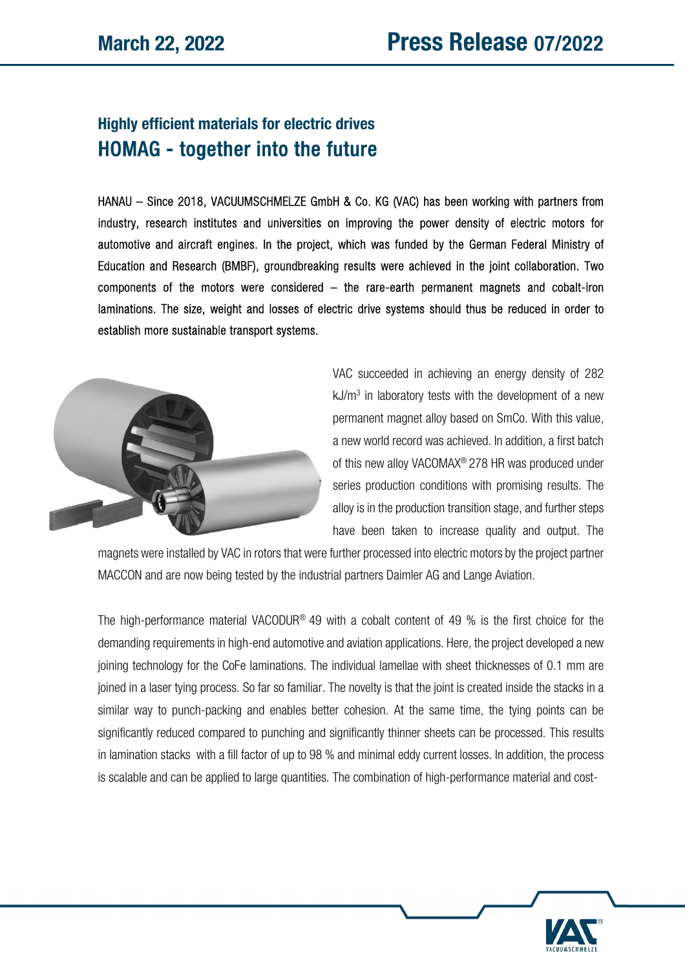## Highly efficient materials for electric drives HOMAG - together into the future

HANAU – Since 2018, VACUUMSCHMELZE GmbH & Co. KG (VAC) has been working with partners from industry, research institutes and universities on improving the power density of electric motors for automotive and aircraft engines. In the project, which was funded by the German Federal Ministry of Education and Research (BMBF), groundbreaking results were achieved in the joint collaboration. Two components of the motors were considered – the rare-earth permanent magnets and cobalt-iron laminations. The size, weight and losses of electric drive systems should thus be reduced in order to establish more sustainable transport systems.



VAC succeeded in achieving an energy density of 282  $kJ/m<sup>3</sup>$  in laboratory tests with the development of a new permanent magnet alloy based on SmCo. With this value, a new world record was achieved. In addition, a first batch of this new alloy VACOMAX® 278 HR was produced under series production conditions with promising results. The alloy is in the production transition stage, and further steps have been taken to increase quality and output. The

magnets were installed by VAC in rotors that were further processed into electric motors by the project partner MACCON and are now being tested by the industrial partners Daimler AG and Lange Aviation.

The high-performance material VACODUR<sup>®</sup> 49 with a cobalt content of 49 % is the first choice for the demanding requirements in high-end automotive and aviation applications. Here, the project developed a new joining technology for the CoFe laminations. The individual lamellae with sheet thicknesses of 0.1 mm are joined in a laser tying process. So far so familiar. The novelty is that the joint is created inside the stacks in a similar way to punch-packing and enables better cohesion. At the same time, the tying points can be significantly reduced compared to punching and significantly thinner sheets can be processed. This results in lamination stacks with a fill factor of up to 98 % and minimal eddy current losses. In addition, the process is scalable and can be applied to large quantities. The combination of high-performance material and cost-